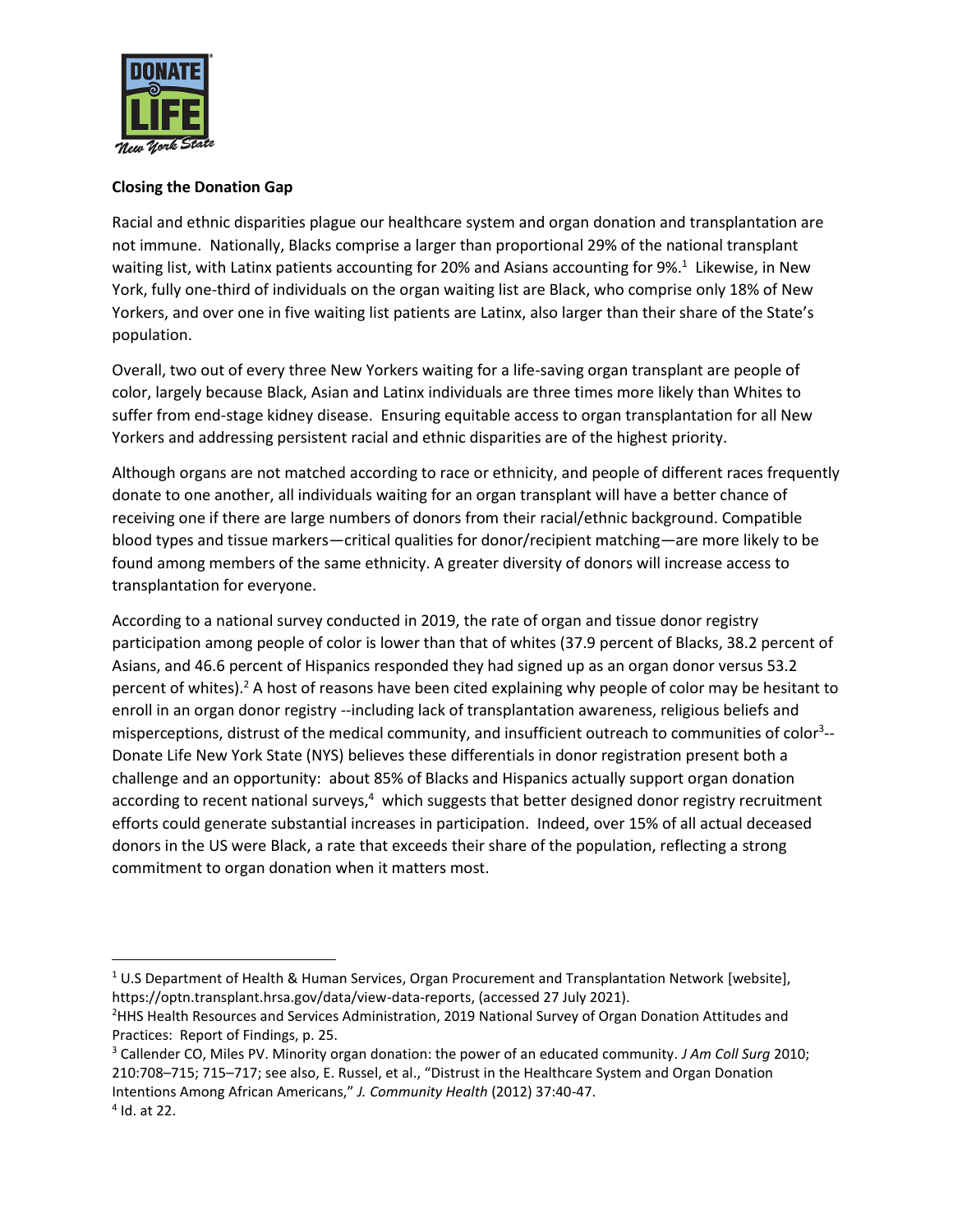

## **Closing the Donation Gap**

Racial and ethnic disparities plague our healthcare system and organ donation and transplantation are not immune. Nationally, Blacks comprise a larger than proportional 29% of the national transplant waiting list, with Latinx patients accounting for 20% and Asians accounting for 9%.<sup>1</sup> Likewise, in New York, fully one-third of individuals on the organ waiting list are Black, who comprise only 18% of New Yorkers, and over one in five waiting list patients are Latinx, also larger than their share of the State's population.

Overall, two out of every three New Yorkers waiting for a life-saving organ transplant are people of color, largely because Black, Asian and Latinx individuals are three times more likely than Whites to suffer from end-stage kidney disease. Ensuring equitable access to organ transplantation for all New Yorkers and addressing persistent racial and ethnic disparities are of the highest priority.

Although organs are not matched according to race or ethnicity, and people of different races frequently donate to one another, all individuals waiting for an organ transplant will have a better chance of receiving one if there are large numbers of donors from their racial/ethnic background. Compatible blood types and tissue markers—critical qualities for donor/recipient matching—are more likely to be found among members of the same ethnicity. A greater diversity of donors will increase access to transplantation for everyone.

According to a national survey conducted in 2019, the rate of organ and tissue donor registry participation among people of color is lower than that of whites (37.9 percent of Blacks, 38.2 percent of Asians, and 46.6 percent of Hispanics responded they had signed up as an organ donor versus 53.2 percent of whites).<sup>2</sup> A host of reasons have been cited explaining why people of color may be hesitant to enroll in an organ donor registry --including lack of transplantation awareness, religious beliefs and misperceptions, distrust of the medical community, and insufficient outreach to communities of color<sup>3</sup>--Donate Life New York State (NYS) believes these differentials in donor registration present both a challenge and an opportunity: about 85% of Blacks and Hispanics actually support organ donation according to recent national surveys,<sup>4</sup> which suggests that better designed donor registry recruitment efforts could generate substantial increases in participation. Indeed, over 15% of all actual deceased donors in the US were Black, a rate that exceeds their share of the population, reflecting a strong commitment to organ donation when it matters most.

 $\overline{a}$ 

 $1$  U.S Department of Health & Human Services, Organ Procurement and Transplantation Network [website], https://optn.transplant.hrsa.gov/data/view-data-reports, (accessed 27 July 2021).

<sup>&</sup>lt;sup>2</sup>HHS Health Resources and Services Administration, 2019 National Survey of Organ Donation Attitudes and Practices: Report of Findings, p. 25.

<sup>3</sup> Callender CO, Miles PV. Minority organ donation: the power of an educated community*. J Am Coll Surg* 2010; 210:708–715; 715–717; see also, E. Russel, et al., "Distrust in the Healthcare System and Organ Donation Intentions Among African Americans," *J. Community Health* (2012) 37:40-47.

<sup>4</sup> Id. at 22.